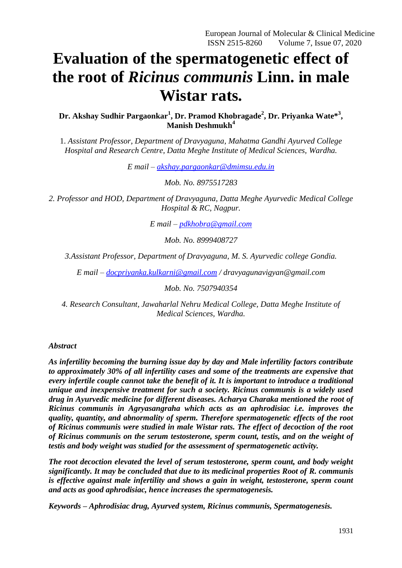# **Evaluation of the spermatogenetic effect of the root of** *Ricinus communis* **Linn. in male Wistar rats.**

**Dr. Akshay Sudhir Pargaonkar<sup>1</sup> , Dr. Pramod Khobragade<sup>2</sup> , Dr. Priyanka Wate\* 3 , Manish Deshmukh<sup>4</sup>**

1. *Assistant Professor, Department of Dravyaguna, Mahatma Gandhi Ayurved College Hospital and Research Centre, Datta Meghe Institute of Medical Sciences, Wardha.*

*E mail – [akshay.pargaonkar@dmimsu.edu.in](mailto:akshay.pargaonkar@dmimsu.edu.in)*

*Mob. No. 8975517283*

*2. Professor and HOD, Department of Dravyaguna, Datta Meghe Ayurvedic Medical College Hospital & RC, Nagpur.*

*E mail – [pdkhobra@gmail.com](mailto:pdkhobra@gmail.com)*

*Mob. No. 8999408727*

*3.Assistant Professor, Department of Dravyaguna, M. S. Ayurvedic college Gondia.*

*E mail – [docpriyanka.kulkarni@gmail.com](mailto:docpriyanka.kulkarni@gmail.com) / dravyagunavigyan@gmail.com*

*Mob. No. 7507940354*

*4. Research Consultant, Jawaharlal Nehru Medical College, Datta Meghe Institute of Medical Sciences, Wardha.*

#### *Abstract*

*As infertility becoming the burning issue day by day and Male infertility factors contribute to approximately 30% of all infertility cases and some of the treatments are expensive that every infertile couple cannot take the benefit of it. It is important to introduce a traditional unique and inexpensive treatment for such a society. Ricinus communis is a widely used drug in Ayurvedic medicine for different diseases. Acharya Charaka mentioned the root of Ricinus communis in Agryasangraha which acts as an aphrodisiac i.e. improves the quality, quantity, and abnormality of sperm. Therefore spermatogenetic effects of the root of Ricinus communis were studied in male Wistar rats. The effect of decoction of the root of Ricinus communis on the serum testosterone, sperm count, testis, and on the weight of testis and body weight was studied for the assessment of spermatogenetic activity.*

*The root decoction elevated the level of serum testosterone, sperm count, and body weight significantly. It may be concluded that due to its medicinal properties Root of R. communis is effective against male infertility and shows a gain in weight, testosterone, sperm count and acts as good aphrodisiac, hence increases the spermatogenesis.*

*Keywords – Aphrodisiac drug, Ayurved system, Ricinus communis, Spermatogenesis.*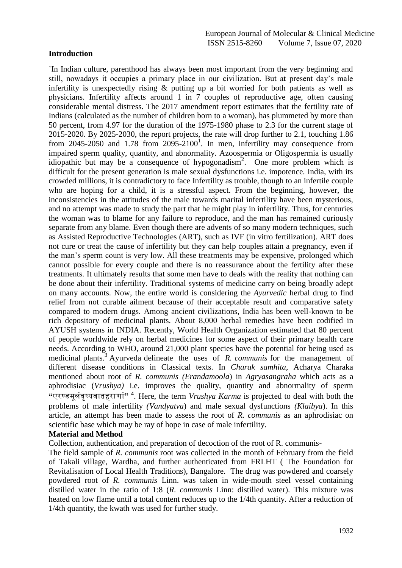# **Introduction**

`In Indian culture, parenthood has always been most important from the very beginning and still, nowadays it occupies a primary place in our civilization. But at present day's male infertility is unexpectedly rising & putting up a bit worried for both patients as well as physicians. Infertility affects around 1 in 7 couples of reproductive age, often causing considerable mental distress. The 2017 amendment report estimates that the fertility rate of Indians (calculated as the number of children born to a woman), has plummeted by more than 50 percent, from 4.97 for the duration of the 1975-1980 phase to 2.3 for the current stage of 2015-2020. By 2025-2030, the report projects, the rate will drop further to 2.1, touching 1.86 from 2045-2050 and 1.78 from  $2095-2100<sup>1</sup>$ . In men, infertility may consequence from impaired sperm quality, quantity, and abnormality. Azoospermia or Oligospermia is usually idiopathic but may be a consequence of hypogonadism<sup>2</sup>. One more problem which is difficult for the present generation is male sexual dysfunctions i.e. impotence. India, with its crowded millions, it is contradictory to face Infertility as trouble, though to an infertile couple who are hoping for a child, it is a stressful aspect. From the beginning, however, the inconsistencies in the attitudes of the male towards marital infertility have been mysterious, and no attempt was made to study the part that he might play in infertility. Thus, for centuries the woman was to blame for any failure to reproduce, and the man has remained curiously separate from any blame. Even though there are advents of so many modern techniques, such as Assisted Reproductive Technologies (ART), such as IVF (in vitro fertilization). ART does not cure or treat the cause of infertility but they can help couples attain a pregnancy, even if the man's sperm count is very low. All these treatments may be expensive, prolonged which cannot possible for every couple and there is no reassurance about the fertility after these treatments. It ultimately results that some men have to deals with the reality that nothing can be done about their infertility. Traditional systems of medicine carry on being broadly adept on many accounts. Now, the entire world is considering the *Ayurvedic* herbal drug to find relief from not curable ailment because of their acceptable result and comparative safety compared to modern drugs. Among ancient civilizations, India has been well-known to be rich depository of medicinal plants. About 8,000 herbal remedies have been codified in AYUSH systems in INDIA. Recently, World Health Organization estimated that 80 percent of people worldwide rely on herbal medicines for some aspect of their primary health care needs. According to WHO, around 21,000 plant species have the potential for being used as medicinal plants.<sup>3</sup> Ayurveda delineate the uses of *R. communis* for the management of different disease conditions in Classical texts. In *Charak samhita*, Acharya Charaka mentioned about root of *R. communis (Erandamoola*) in *Agryasangraha* which acts as a aphrodisiac (*Vrushya)* i.e. improves the quality, quantity and abnormality of sperm **"**एरण्डमूलंवृष्यवातहराणां**"** <sup>4</sup> . Here, the term *Vrushya Karma* is projected to deal with both the problems of male infertility *(Vandyatva*) and male sexual dysfunctions *(Klaibya*). In this article, an attempt has been made to assess the root of *R. communis* as an aphrodisiac on scientific base which may be ray of hope in case of male infertility.

### **Material and Method**

Collection, authentication, and preparation of decoction of the root of R. communis-

The field sample of *R. communis* root was collected in the month of February from the field of Takali village, Wardha, and further authenticated from FRLHT ( The Foundation for Revitalisation of Local Health Traditions), Bangalore. The drug was powdered and coarsely powdered root of *R. communis* Linn. was taken in wide-mouth steel vessel containing distilled water in the ratio of 1:8 (*R. communis* Linn: distilled water). This mixture was heated on low flame until a total content reduces up to the 1/4th quantity. After a reduction of 1/4th quantity, the kwath was used for further study.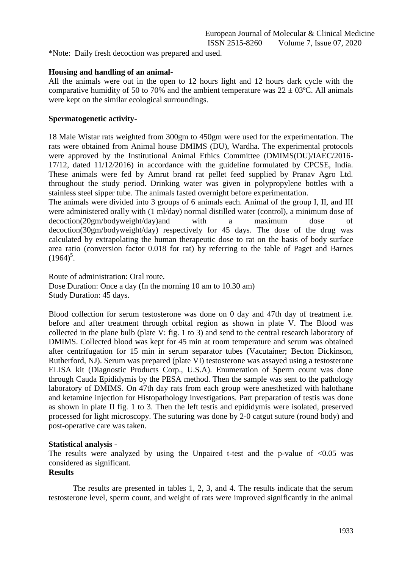\*Note: Daily fresh decoction was prepared and used.

### **Housing and handling of an animal-**

All the animals were out in the open to 12 hours light and 12 hours dark cycle with the comparative humidity of 50 to 70% and the ambient temperature was  $22 \pm 03^{\circ}$ C. All animals were kept on the similar ecological surroundings.

#### **Spermatogenetic activity-**

18 Male Wistar rats weighted from 300gm to 450gm were used for the experimentation. The rats were obtained from Animal house DMIMS (DU), Wardha. The experimental protocols were approved by the Institutional Animal Ethics Committee (DMIMS(DU)/IAEC/2016- 17/12, dated 11/12/2016) in accordance with the guideline formulated by CPCSE, India. These animals were fed by Amrut brand rat pellet feed supplied by Pranav Agro Ltd. throughout the study period. Drinking water was given in polypropylene bottles with a stainless steel sipper tube. The animals fasted overnight before experimentation.

The animals were divided into 3 groups of 6 animals each. Animal of the group I, II, and III were administered orally with (1 ml/day) normal distilled water (control), a minimum dose of decoction(20gm/bodyweight/day)and with a maximum dose of decoction(30gm/bodyweight/day) respectively for 45 days. The dose of the drug was calculated by extrapolating the human therapeutic dose to rat on the basis of body surface area ratio (conversion factor 0.018 for rat) by referring to the table of Paget and Barnes  $(1964)^5$ .

Route of administration: Oral route. Dose Duration: Once a day (In the morning 10 am to 10.30 am) Study Duration: 45 days.

Blood collection for serum testosterone was done on 0 day and 47th day of treatment i.e. before and after treatment through orbital region as shown in plate V. The Blood was collected in the plane bulb (plate V: fig. 1 to 3) and send to the central research laboratory of DMIMS. Collected blood was kept for 45 min at room temperature and serum was obtained after centrifugation for 15 min in serum separator tubes (Vacutainer; Becton Dickinson, Rutherford, NJ). Serum was prepared (plate VI) testosterone was assayed using a testosterone ELISA kit (Diagnostic Products Corp., U.S.A). Enumeration of Sperm count was done through Cauda Epididymis by the PESA method. Then the sample was sent to the pathology laboratory of DMIMS. On 47th day rats from each group were anesthetized with halothane and ketamine injection for Histopathology investigations. Part preparation of testis was done as shown in plate II fig. 1 to 3. Then the left testis and epididymis were isolated, preserved processed for light microscopy. The suturing was done by 2-0 catgut suture (round body) and post-operative care was taken.

### **Statistical analysis -**

The results were analyzed by using the Unpaired t-test and the p-value of  $\langle 0.05 \rangle$  was considered as significant.

### **Results**

The results are presented in tables 1, 2, 3, and 4. The results indicate that the serum testosterone level, sperm count, and weight of rats were improved significantly in the animal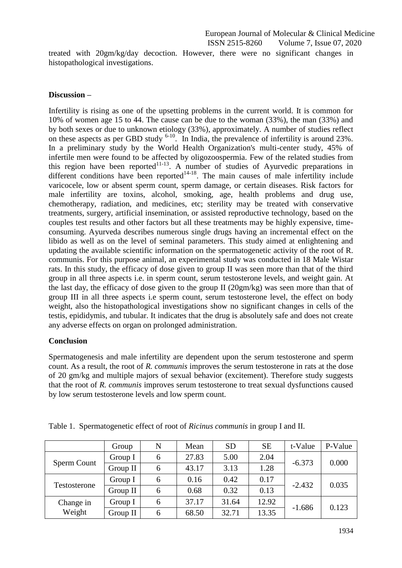treated with 20gm/kg/day decoction. However, there were no significant changes in histopathological investigations.

### **Discussion –**

Infertility is rising as one of the upsetting problems in the current world. It is common for 10% of women age 15 to 44. The cause can be due to the woman (33%), the man (33%) and by both sexes or due to unknown etiology (33%), approximately. A number of studies reflect on these aspects as per GBD study  $6-10$ . In India, the prevalence of infertility is around 23%. In a preliminary study by the World Health Organization's multi-center study, 45% of infertile men were found to be affected by oligozoospermia. Few of the related studies from this region have been reported $11-13$ . A number of studies of Ayurvedic preparations in different conditions have been reported $14-18$ . The main causes of male infertility include varicocele, low or absent sperm count, sperm damage, or certain diseases. Risk factors for male infertility are toxins, alcohol, smoking, age, health problems and drug use, chemotherapy, radiation, and medicines, etc; sterility may be treated with conservative treatments, surgery, artificial insemination, or assisted reproductive technology, based on the couples test results and other factors but all these treatments may be highly expensive, timeconsuming. Ayurveda describes numerous single drugs having an incremental effect on the libido as well as on the level of seminal parameters. This study aimed at enlightening and updating the available scientific information on the spermatogenetic activity of the root of R. communis. For this purpose animal, an experimental study was conducted in 18 Male Wistar rats. In this study, the efficacy of dose given to group II was seen more than that of the third group in all three aspects i.e. in sperm count, serum testosterone levels, and weight gain. At the last day, the efficacy of dose given to the group II (20gm/kg) was seen more than that of group III in all three aspects i.e sperm count, serum testosterone level, the effect on body weight, also the histopathological investigations show no significant changes in cells of the testis, epididymis, and tubular. It indicates that the drug is absolutely safe and does not create any adverse effects on organ on prolonged administration.

### **Conclusion**

Spermatogenesis and male infertility are dependent upon the serum testosterone and sperm count. As a result, the root of *R. communis* improves the serum testosterone in rats at the dose of 20 gm/kg and multiple majors of sexual behavior (excitement). Therefore study suggests that the root of *R. communis* improves serum testosterone to treat sexual dysfunctions caused by low serum testosterone levels and low sperm count.

|                     | Group    | N | Mean  | <b>SD</b> | <b>SE</b> | t-Value  | P-Value |
|---------------------|----------|---|-------|-----------|-----------|----------|---------|
| Sperm Count         | Group I  | 6 | 27.83 | 5.00      | 2.04      | $-6.373$ | 0.000   |
|                     | Group II | 6 | 43.17 | 3.13      | 1.28      |          |         |
| Testosterone        | Group I  | 6 | 0.16  | 0.42      | 0.17      | $-2.432$ | 0.035   |
|                     | Group II | 6 | 0.68  | 0.32      | 0.13      |          |         |
| Change in<br>Weight | Group I  | 6 | 37.17 | 31.64     | 12.92     |          | 0.123   |
|                     | Group II | 6 | 68.50 | 32.71     | 13.35     | $-1.686$ |         |

Table 1. Spermatogenetic effect of root of *Ricinus communis* in group I and II.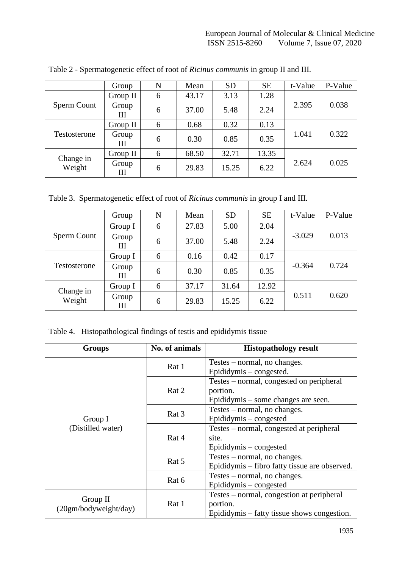|                     | Group      | N | Mean  | <b>SD</b> | <b>SE</b> | t-Value | P-Value |
|---------------------|------------|---|-------|-----------|-----------|---------|---------|
| Sperm Count         | Group II   | 6 | 43.17 | 3.13      | 1.28      |         |         |
|                     | Group<br>Ш | 6 | 37.00 | 5.48      | 2.24      | 2.395   | 0.038   |
| Testosterone        | Group II   | 6 | 0.68  | 0.32      | 0.13      | 1.041   | 0.322   |
|                     | Group<br>Ш | 6 | 0.30  | 0.85      | 0.35      |         |         |
| Change in<br>Weight | Group II   | 6 | 68.50 | 32.71     | 13.35     |         |         |
|                     | Group<br>Ш | 6 | 29.83 | 15.25     | 6.22      | 2.624   | 0.025   |

Table 2 - Spermatogenetic effect of root of *Ricinus communis* in group II and III.

Table 3. Spermatogenetic effect of root of *Ricinus communis* in group I and III.

|                     | Group      | N | Mean  | <b>SD</b> | <b>SE</b> | t-Value  | P-Value |
|---------------------|------------|---|-------|-----------|-----------|----------|---------|
| Sperm Count         | Group I    | 6 | 27.83 | 5.00      | 2.04      | $-3.029$ | 0.013   |
|                     | Group<br>Ш | 6 | 37.00 | 5.48      | 2.24      |          |         |
| Testosterone        | Group I    | 6 | 0.16  | 0.42      | 0.17      | $-0.364$ | 0.724   |
|                     | Group<br>Ш | 6 | 0.30  | 0.85      | 0.35      |          |         |
| Change in<br>Weight | Group I    | 6 | 37.17 | 31.64     | 12.92     |          |         |
|                     | Group<br>Ш | 6 | 29.83 | 15.25     | 6.22      | 0.511    | 0.620   |

Table 4. Histopathological findings of testis and epididymis tissue

| <b>Groups</b>         | No. of animals | <b>Histopathology result</b>                  |  |
|-----------------------|----------------|-----------------------------------------------|--|
|                       | Rat 1          | Testes – normal, no changes.                  |  |
|                       |                | Epididymis – congested.                       |  |
|                       | Rat 2          | Testes – normal, congested on peripheral      |  |
|                       |                | portion.                                      |  |
|                       |                | Epididymis – some changes are seen.           |  |
|                       | Rat 3          | Testes – normal, no changes.                  |  |
| Group I               |                | Epididymis – congested                        |  |
| (Distilled water)     | Rat 4          | Testes – normal, congested at peripheral      |  |
|                       |                | site.                                         |  |
|                       |                | Epididymis – congested                        |  |
|                       |                | Testes – normal, no changes.                  |  |
|                       | Rat 5          | Epididymis – fibro fatty tissue are observed. |  |
|                       |                | Testes – normal, no changes.                  |  |
|                       | Rat 6          | Epididymis – congested                        |  |
|                       | Rat 1          | Testes – normal, congestion at peripheral     |  |
| Group II              |                | portion.                                      |  |
| (20gm/bodyweight/day) |                | Epididymis – fatty tissue shows congestion.   |  |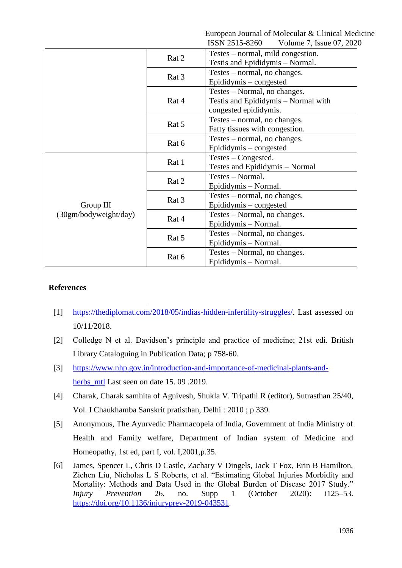European Journal of Molecular & Clinical Medicine<br>
ISSN 2515-8260 Volume 7 Issue 07 2020 Volume  $7$  Issue 07, 2020

|                       |       | <b>DOTO-CITES MOTO</b><br>volume $\ell$ , issue $U\ell$ , $ZUZ\ell$ |
|-----------------------|-------|---------------------------------------------------------------------|
|                       | Rat 2 | Testes – normal, mild congestion.                                   |
|                       |       | Testis and Epididymis – Normal.                                     |
|                       |       | Testes – normal, no changes.                                        |
|                       | Rat 3 | Epididymis – congested                                              |
|                       | Rat 4 | Testes – Normal, no changes.                                        |
|                       |       | Testis and Epididymis – Normal with                                 |
|                       |       | congested epididymis.                                               |
|                       | Rat 5 | Testes – normal, no changes.                                        |
|                       |       | Fatty tissues with congestion.                                      |
|                       | Rat 6 | Testes – normal, no changes.                                        |
|                       |       | Epididymis – congested                                              |
|                       | Rat 1 | Testes – Congested.                                                 |
|                       |       | Testes and Epididymis - Normal                                      |
|                       | Rat 2 | Testes - Normal.                                                    |
|                       |       | Epididymis - Normal.                                                |
|                       | Rat 3 | Testes – normal, no changes.                                        |
| Group III             |       | Epididymis – congested                                              |
| (30gm/bodyweight/day) | Rat 4 | Testes – Normal, no changes.                                        |
|                       |       | Epididymis – Normal.                                                |
|                       | Rat 5 | Testes – Normal, no changes.                                        |
|                       |       | Epididymis – Normal.                                                |
|                       | Rat 6 | Testes – Normal, no changes.                                        |
|                       |       | Epididymis – Normal.                                                |

# **References**

-

- [1] [https://thediplomat.com/2018/05/indias-hidden-infertility-struggles/.](https://thediplomat.com/2018/05/indias-hidden-infertility-struggles/) Last assessed on 10/11/2018.
- [2] Colledge N et al. Davidson's principle and practice of medicine; 21st edi. British Library Cataloguing in Publication Data; p 758-60.
- [3] [https://www.nhp.gov.in/introduction-and-importance-of-medicinal-plants-and](https://www.nhp.gov.in/introduction-and-importance-of-medicinal-plants-and-herbs_mtl)herbs mtl Last seen on date 15, 09, 2019.
- [4] Charak, Charak samhita of Agnivesh, Shukla V. Tripathi R (editor), Sutrasthan 25/40, Vol. I Chaukhamba Sanskrit pratisthan, Delhi : 2010 ; p 339.
- [5] Anonymous, The Ayurvedic Pharmacopeia of India, Government of India Ministry of Health and Family welfare, Department of Indian system of Medicine and Homeopathy, 1st ed, part I, vol. I,2001,p.35.
- [6] James, Spencer L, Chris D Castle, Zachary V Dingels, Jack T Fox, Erin B Hamilton, Zichen Liu, Nicholas L S Roberts, et al. "Estimating Global Injuries Morbidity and Mortality: Methods and Data Used in the Global Burden of Disease 2017 Study." *Injury Prevention* 26, no. Supp 1 (October 2020): i125–53. [https://doi.org/10.1136/injuryprev-2019-043531.](https://doi.org/10.1136/injuryprev-2019-043531)